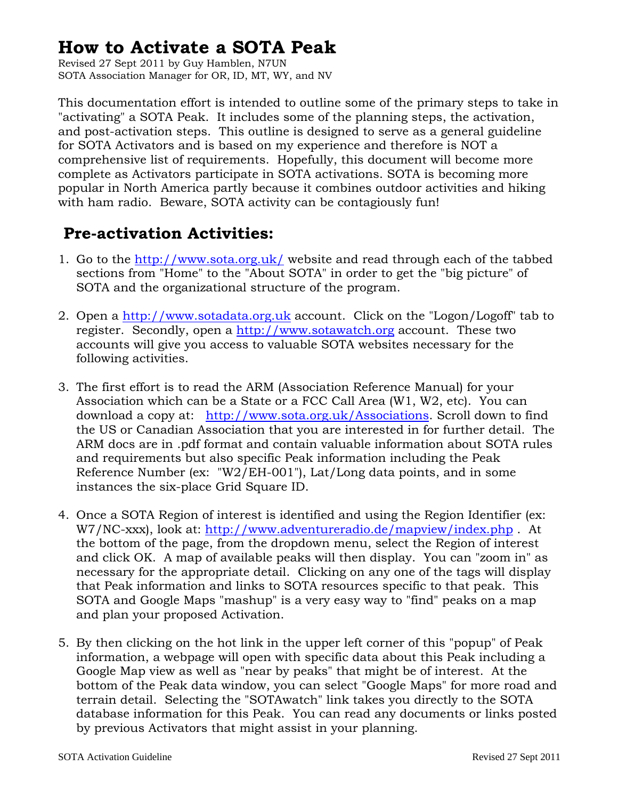## **How to Activate a SOTA Peak**

Revised 27 Sept 2011 by Guy Hamblen, N7UN SOTA Association Manager for OR, ID, MT, WY, and NV

This documentation effort is intended to outline some of the primary steps to take in "activating" a SOTA Peak. It includes some of the planning steps, the activation, and post-activation steps. This outline is designed to serve as a general guideline for SOTA Activators and is based on my experience and therefore is NOT a comprehensive list of requirements. Hopefully, this document will become more complete as Activators participate in SOTA activations. SOTA is becoming more popular in North America partly because it combines outdoor activities and hiking with ham radio. Beware, SOTA activity can be contagiously fun!

## **Pre-activation Activities:**

- 1. Go to the<http://www.sota.org.uk/>website and read through each of the tabbed sections from "Home" to the "About SOTA" in order to get the "big picture" of SOTA and the organizational structure of the program.
- 2. Open a [http://www.sotadata.org.uk](http://www.sotadata.org.uk/) account. Click on the "Logon/Logoff" tab to register. Secondly, open a [http://www.sotawatch.org](http://www.sotawatch.org/) account. These two accounts will give you access to valuable SOTA websites necessary for the following activities.
- 3. The first effort is to read the ARM (Association Reference Manual) for your Association which can be a State or a FCC Call Area (W1, W2, etc). You can download a copy at: <http://www.sota.org.uk/Associations>. Scroll down to find the US or Canadian Association that you are interested in for further detail. The ARM docs are in .pdf format and contain valuable information about SOTA rules and requirements but also specific Peak information including the Peak Reference Number (ex: "W2/EH-001"), Lat/Long data points, and in some instances the six-place Grid Square ID.
- 4. Once a SOTA Region of interest is identified and using the Region Identifier (ex: W7/NC-xxx), look at:<http://www.adventureradio.de/mapview/index.php>. At the bottom of the page, from the dropdown menu, select the Region of interest and click OK. A map of available peaks will then display. You can "zoom in" as necessary for the appropriate detail. Clicking on any one of the tags will display that Peak information and links to SOTA resources specific to that peak. This SOTA and Google Maps "mashup" is a very easy way to "find" peaks on a map and plan your proposed Activation.
- 5. By then clicking on the hot link in the upper left corner of this "popup" of Peak information, a webpage will open with specific data about this Peak including a Google Map view as well as "near by peaks" that might be of interest. At the bottom of the Peak data window, you can select "Google Maps" for more road and terrain detail. Selecting the "SOTAwatch" link takes you directly to the SOTA database information for this Peak. You can read any documents or links posted by previous Activators that might assist in your planning.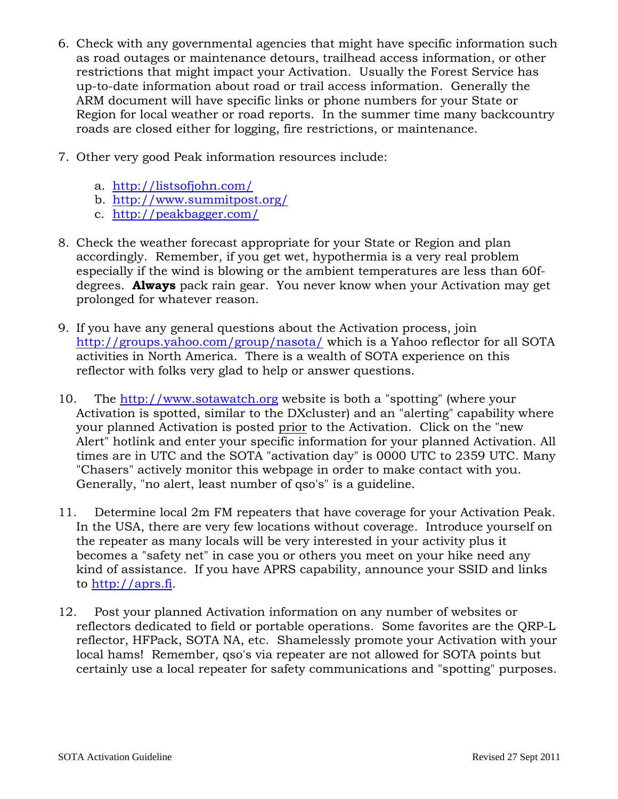- 6. Check with any governmental agencies that might have specific information such as road outages or maintenance detours, trailhead access information, or other restrictions that might impact your Activation. Usually the Forest Service has up-to-date information about road or trail access information. Generally the ARM document will have specific links or phone numbers for your State or Region for local weather or road reports. In the summer time many backcountry roads are closed either for logging, fire restrictions, or maintenance.
- 7. Other very good Peak information resources include:
	- a. <http://listsofjohn.com/>
	- b. <http://www.summitpost.org/>
	- c. <http://peakbagger.com/>
- 8. Check the weather forecast appropriate for your State or Region and plan accordingly. Remember, if you get wet, hypothermia is a very real problem especially if the wind is blowing or the ambient temperatures are less than 60fdegrees. **Always** pack rain gear. You never know when your Activation may get prolonged for whatever reason.
- 9. If you have any general questions about the Activation process, join <http://groups.yahoo.com/group/nasota/> which is a Yahoo reflector for all SOTA activities in North America. There is a wealth of SOTA experience on this reflector with folks very glad to help or answer questions.
- 10. The [http://www.sotawatch.org](http://www.sotawatch.org/) website is both a "spotting" (where your Activation is spotted, similar to the DXcluster) and an "alerting" capability where your planned Activation is posted prior to the Activation. Click on the "new Alert" hotlink and enter your specific information for your planned Activation. All times are in UTC and the SOTA "activation day" is 0000 UTC to 2359 UTC. Many "Chasers" actively monitor this webpage in order to make contact with you. Generally, "no alert, least number of qso's" is a guideline.
- 11. Determine local 2m FM repeaters that have coverage for your Activation Peak. In the USA, there are very few locations without coverage. Introduce yourself on the repeater as many locals will be very interested in your activity plus it becomes a "safety net" in case you or others you meet on your hike need any kind of assistance. If you have APRS capability, announce your SSID and links to [http://aprs.fi.](http://aprs.fi/)
- 12. Post your planned Activation information on any number of websites or reflectors dedicated to field or portable operations. Some favorites are the QRP-L reflector, HFPack, SOTA NA, etc. Shamelessly promote your Activation with your local hams! Remember, qso's via repeater are not allowed for SOTA points but certainly use a local repeater for safety communications and "spotting" purposes.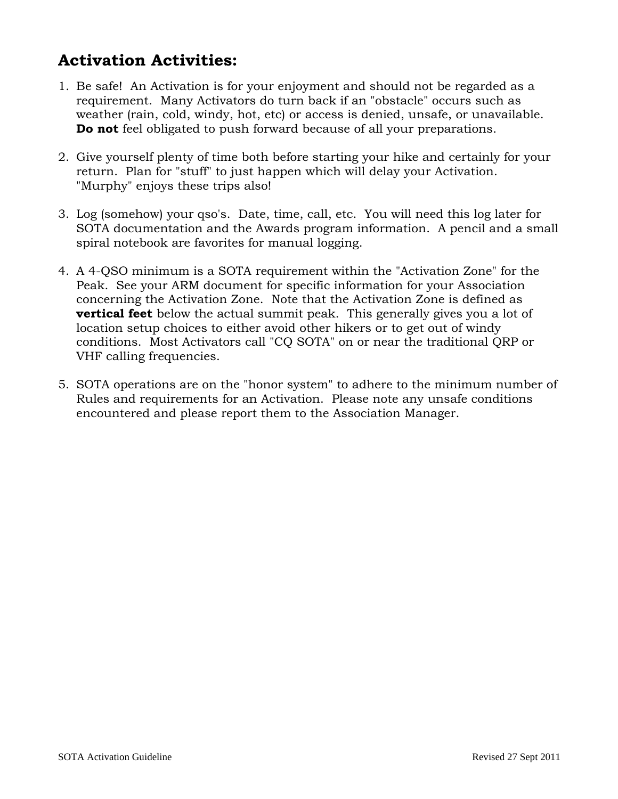## **Activation Activities:**

- 1. Be safe! An Activation is for your enjoyment and should not be regarded as a requirement. Many Activators do turn back if an "obstacle" occurs such as weather (rain, cold, windy, hot, etc) or access is denied, unsafe, or unavailable. **Do not** feel obligated to push forward because of all your preparations.
- 2. Give yourself plenty of time both before starting your hike and certainly for your return. Plan for "stuff" to just happen which will delay your Activation. "Murphy" enjoys these trips also!
- 3. Log (somehow) your qso's. Date, time, call, etc. You will need this log later for SOTA documentation and the Awards program information. A pencil and a small spiral notebook are favorites for manual logging.
- 4. A 4-QSO minimum is a SOTA requirement within the "Activation Zone" for the Peak. See your ARM document for specific information for your Association concerning the Activation Zone. Note that the Activation Zone is defined as **vertical feet** below the actual summit peak. This generally gives you a lot of location setup choices to either avoid other hikers or to get out of windy conditions. Most Activators call "CQ SOTA" on or near the traditional QRP or VHF calling frequencies.
- 5. SOTA operations are on the "honor system" to adhere to the minimum number of Rules and requirements for an Activation. Please note any unsafe conditions encountered and please report them to the Association Manager.